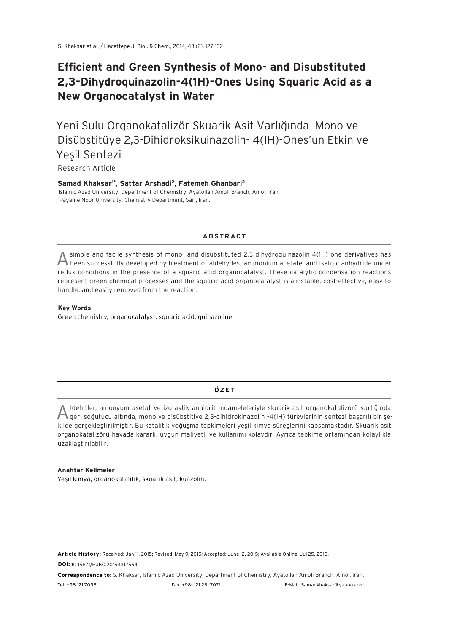# **Efficient and Green Synthesis of Mono- and Disubstituted 2,3-Dihydroquinazolin-4(1H)-Ones Using Squaric Acid as a New Organocatalyst in Water**

Yeni Sulu Organokatalizör Skuarik Asit Varlığında Mono ve Disübstitüye 2,3-Dihidroksikuinazolin- 4(1H)-Ones'un Etkin ve Yeşil Sentezi

# Research Article

#### **Samad Khaksar1\*, Sattar Arshadi2, Fatemeh Ghanbari2** 1 Islamic Azad University, Department of Chemistry, Ayatollah Amoli Branch, Amol, Iran. 2 Payame Noor University, Chemistry Department, Sari, Iran.

## **ABSTRACT**

A simple and facile synthesis of mono- and disubstituted 2,3-dihydroquinazolin-4(1H)-one derivatives has been successfully developed by treatment of aldehydes, ammonium acetate, and isatoic anhydride under reflux conditions in the presence of a squaric acid organocatalyst. These catalytic condensation reactions represent green chemical processes and the squaric acid organocatalyst is air-stable, cost-effective, easy to handle, and easily removed from the reaction.

#### **Key Words**

Green chemistry, organocatalyst, squaric acid, quinazoline.

#### **ÖZET**

A ldehitler, amonyum asetat ve izotaktik anhidrit muameleleriyle skuarik asit organokatalizörü varlığında geri soğutucu altında, mono ve disübstitiye 2,3-dihidrokinazolin -4(1H) türevlerinin sentezi başarılı bir şekilde gerçekleştirilmiştir. Bu katalitik yoğuşma tepkimeleri yeşil kimya süreçlerini kapsamaktadır. Skuarik asit organokatalizörü havada kararlı, uygun maliyetli ve kullanımı kolaydır. Ayrıca tepkime ortamından kolaylıkla uzaklaştırılabilir.

#### **Anahtar Kelimeler**

Yeşil kimya, organokatalitik, skuarik asit, kuazolin.

**Article History:** Received: Jan 11, 2015; Revised: May 9, 2015; Accepted: June 12, 2015; Available Online: Jul 25, 2015.

**DOI:** 10.15671/HJBC.20154312554

**Correspondence to:** S. Khaksar, Islamic Azad University, Department of Chemistry, Ayatollah Amoli Branch, Amol, Iran. Tel: +98 121 7098 Fax: +98- 121 251 7071 E-Mail: Samadkhaksar@yahoo.com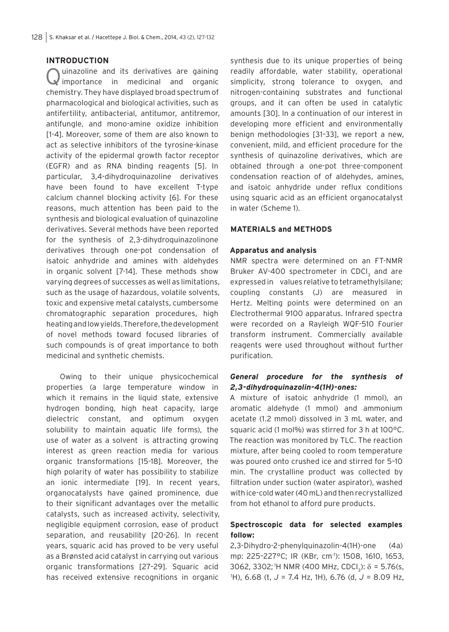# **INTRODUCTION**

uinazoline and its derivatives are gaining importance in medicinal and organic chemistry. They have displayed broad spectrum of pharmacological and biological activities, such as antifertility, antibacterial, antitumor, antitremor, antifungle, and mono-amine oxidize inhibition [1-4]. Moreover, some of them are also known to act as selective inhibitors of the tyrosine-kinase activity of the epidermal growth factor receptor (EGFR) and as RNA binding reagents [5]. In particular, 3,4-dihydroquinazoline derivatives have been found to have excellent T-type calcium channel blocking activity [6]. For these reasons, much attention has been paid to the synthesis and biological evaluation of quinazoline derivatives. Several methods have been reported for the synthesis of 2,3-dihydroquinazolinone derivatives through one-pot condensation of isatoic anhydride and amines with aldehydes in organic solvent [7-14]. These methods show varying degrees of successes as well as limitations, such as the usage of hazardous, volatile solvents, toxic and expensive metal catalysts, cumbersome chromatographic separation procedures, high heating and low yields. Therefore, the development of novel methods toward focused libraries of such compounds is of great importance to both medicinal and synthetic chemists.

Owing to their unique physicochemical properties (a large temperature window in which it remains in the liquid state, extensive hydrogen bonding, high heat capacity, large dielectric constant, and optimum oxygen solubility to maintain aquatic life forms), the use of water as a solvent is attracting growing interest as green reaction media for various organic transformations [15-18]. Moreover, the high polarity of water has possibility to stabilize an ionic intermediate [19]. In recent years, organocatalysts have gained prominence, due to their significant advantages over the metallic catalysts, such as increased activity, selectivity, negligible equipment corrosion, ease of product separation, and reusability [20-26]. In recent years, squaric acid has proved to be very useful as a Brønsted acid catalyst in carrying out various organic transformations [27–29]. Squaric acid has received extensive recognitions in organic

synthesis due to its unique properties of being readily affordable, water stability, operational simplicity, strong tolerance to oxygen, and nitrogen-containing substrates and functional groups, and it can often be used in catalytic amounts [30]. In a continuation of our interest in developing more efficient and environmentally benign methodologies [31–33], we report a new, convenient, mild, and efficient procedure for the synthesis of quinazoline derivatives, which are obtained through a one-pot three-component condensation reaction of of aldehydes, amines, and isatoic anhydride under reflux conditions using squaric acid as an efficient organocatalyst in water (Scheme 1).

## **MATERIALS and METHODS**

## **Apparatus and analysis**

NMR spectra were determined on an FT-NMR Bruker AV-400 spectrometer in CDCI<sub>3</sub> and are expressed in values relative to tetramethylsilane; coupling constants (J) are measured in Hertz. Melting points were determined on an Electrothermal 9100 apparatus. Infrared spectra were recorded on a Rayleigh WQF-510 Fourier transform instrument. Commercially available reagents were used throughout without further purification.

# *General procedure for the synthesis of 2,3-dihydroquinazolin-4(1H)-ones:*

A mixture of isatoic anhydride (1 mmol), an aromatic aldehyde (1 mmol) and ammonium acetate (1.2 mmol) dissolved in 3 mL water, and squaric acid (1 mol%) was stirred for 3 h at 100°C. The reaction was monitored by TLC. The reaction mixture, after being cooled to room temperature was poured onto crushed ice and stirred for 5–10 min. The crystalline product was collected by filtration under suction (water aspirator), washed with ice-cold water (40 mL) and then recrystallized from hot ethanol to afford pure products.

# **Spectroscopic data for selected examples follow:**

2,3-Dihydro-2-phenylquinazolin-4(1H)-one (4a) mp: 225–227°C; IR (KBr, cm-1): 1508, 1610, 1653, 3062, 3302; <sup>1</sup>H NMR (400 MHz, CDCI<sub>3</sub>):  $\delta = 5.76$ (s, 1 H), 6.68 (t, *J* = 7.4 Hz, 1H), 6.76 (d, *J* = 8.09 Hz,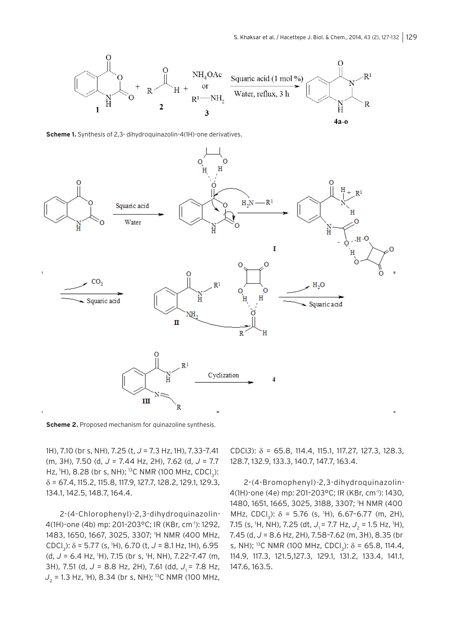

**Scheme 1.** Synthesis of 2,3- dihydroquinazolin-4(1H)-one derivatives.



**Scheme 2.** Proposed mechanism for quinazoline synthesis.

1H), 7.10 (br s, NH), 7.25 (t, *J* = 7.3 Hz, 1H), 7.33–7.41 (m, 3H), 7.50 (d, *J* = 7.44 Hz, 2H), 7.62 (d, *J* = 7.7 Hz, <sup>1</sup>H), 8.28 (br s, NH); <sup>13</sup>C NMR (100 MHz, CDCl<sub>3</sub>): δ = 67.4, 115.2, 115.8, 117.9, 127.7, 128.2, 129.1, 129.3, 134.1, 142.5, 148.7, 164.4.

2-(4-Chlorophenyl)-2,3-dihydroquinazolin-4(1H)-one (4b) mp: 201–203°C; IR (KBr, cm-1): 1292, 1483, 1650, 1667, 3025, 3307; 1 H NMR (400 MHz, CDCl<sub>3</sub>): δ = 5.77 (s, <sup>1</sup>H), 6.70 (t, J = 8.1 Hz, 1H), 6.95 (d, *J* = 6.4 Hz, 1 H), 7.15 (br s, 1 H, NH), 7.22–7.47 (m, 3H), 7.51 (d, J = 8.8 Hz, 2H), 7.61 (dd, J<sub>1</sub> = 7.8 Hz, *J*2 = 1.3 Hz, 1 H), 8.34 (br s, NH); 13C NMR (100 MHz, CDCl*3*): δ = 65.8, 114.4, 115.1, 117.27, 127.3, 128.3, 128.7, 132.9, 133.3, 140.7, 147.7, 163.4.

2-(4-Bromophenyl)-2,3-dihydroquinazolin-4(1H)-one (4e) mp: 201–203°C; IR (KBr, cm-1): 1430, 1480, 1651, 1665, 3025, 3188, 3307; 1 H NMR (400 MHz, CDCl<sub>3</sub>):  $\delta$  = 5.76 (s, <sup>1</sup>H), 6.67-6.77 (m, 2H), 7.15 (s, <sup>1</sup>H, NH), 7.25 (dt, J<sub>1</sub> = 7.7 Hz, J<sub>2</sub> = 1.5 Hz, <sup>1</sup>H), 7.45 (d, *J* = 8.6 Hz, 2H), 7.58–7.62 (m, 3H), 8.35 (br s, NH); <sup>13</sup>C NMR (100 MHz, CDCl<sub>3</sub>):  $\delta$  = 65.8, 114.4, 114.9, 117.3, 121.5,127.3, 129.1, 131.2, 133.4, 141.1, 147.6, 163.5.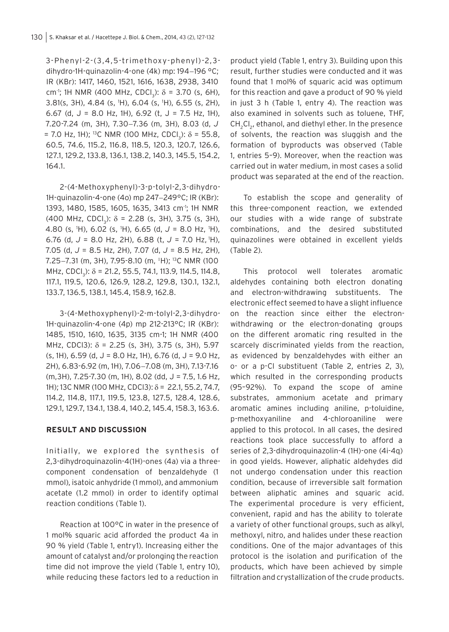3-Phenyl-2-(3,4,5-trimethoxy-phenyl)-2,3 dihydro-1H-quinazolin-4-one (4k) mp: 194-196 °C; IR (KBr): 1417, 1460, 1521, 1616, 1638, 2938, 3410 cm<sup>-1</sup>; 1H NMR (400 MHz, CDCl<sub>3</sub>):  $\delta$  = 3.70 (s, 6H), 3.81(s, 3H), 4.84 (s, 1 H), 6.04 (s, 1 H), 6.55 (s, 2H), 6.67 (d,  $J = 8.0$  Hz, 1H), 6.92 (t,  $J = 7.5$  Hz, 1H), 7.20-7.24 (m, 3H), 7.30−7.36 (m, 3H), 8.03 (d, *J* = 7.0 Hz, 1H); <sup>13</sup>C NMR (100 MHz, CDCl<sub>3</sub>):  $\delta$  = 55.8, 60.5, 74.6, 115.2, 116.8, 118.5, 120.3, 120.7, 126.6, 127.1, 129.2, 133.8, 136.1, 138.2, 140.3, 145.5, 154.2, 164.1.

2-(4-Methoxyphenyl)-3-p-tolyl-2,3-dihydro-1H-quinazolin-4-one (4o) mp 247−249°C; IR (KBr): 1393, 1480, 1585, 1605, 1635, 3413 cm<sup>-1</sup>; 1H NMR (400 MHz, CDCl<sub>3</sub>):  $\delta$  = 2.28 (s, 3H), 3.75 (s, 3H), 4.80 (s, 1 H), 6.02 (s, 1 H), 6.65 (d, *J* = 8.0 Hz, 1 H), 6.76 (d, *J* = 8.0 Hz, 2H), 6.88 (t, *J* = 7.0 Hz, 1H), 7.05 (d, *J* = 8.5 Hz, 2H), 7.07 (d, *J* = 8.5 Hz, 2H), 7.25−7.31 (m, 3H), 7.95-8.10 (m, <sup>1</sup> H); 13C NMR (100 MHz, CDCl<sub>3</sub>):  $\delta$  = 21.2, 55.5, 74.1, 113.9, 114.5, 114.8, 117.1, 119.5, 120.6, 126.9, 128.2, 129.8, 130.1, 132.1, 133.7, 136.5, 138.1, 145.4, 158.9, 162.8.

3-(4-Methoxyphenyl)-2-m-tolyl-2,3-dihydro-1H-quinazolin-4-one (4p) mp 212-213°C; IR (KBr): 1485, 1510, 1610, 1635, 3135 cm-1; 1H NMR (400 MHz, CDCl3):  $\delta$  = 2.25 (s, 3H), 3.75 (s, 3H), 5.97  $(s, 1H)$ , 6.59 (d, J = 8.0 Hz, 1H), 6.76 (d, J = 9.0 Hz, 2H), 6.83-6.92 (m, 1H), 7.06−7.08 (m, 3H), 7.13-7.16 (m,3H), 7.25-7.30 (m, 1H), 8.02 (dd, J = 7.5, 1.6 Hz, 1H); 13C NMR (100 MHz, CDCl3): δ = 22.1, 55.2, 74.7, 114.2, 114.8, 117.1, 119.5, 123.8, 127.5, 128.4, 128.6, 129.1, 129.7, 134.1, 138.4, 140.2, 145.4, 158.3, 163.6.

# **RESULT AND DISCUSSION**

Initially, we explored the synthesis of 2,3-dihydroquinazolin-4(1H)-ones (4a) via a threecomponent condensation of benzaldehyde (1 mmol), isatoic anhydride (1 mmol), and ammonium acetate (1.2 mmol) in order to identify optimal reaction conditions (Table 1).

Reaction at 100°C in water in the presence of 1 mol% squaric acid afforded the product 4a in 90 % yield (Table 1, entry1). Increasing either the amount of catalyst and/or prolonging the reaction time did not improve the yield (Table 1, entry 10), while reducing these factors led to a reduction in

product yield (Table 1, entry 3). Building upon this result, further studies were conducted and it was found that 1 mol% of squaric acid was optimum for this reaction and gave a product of 90 % yield in just 3 h (Table 1, entry 4). The reaction was also examined in solvents such as toluene, THF, CH<sub>2</sub>Cl<sub>2</sub>, ethanol, and diethyl ether. In the presence of solvents, the reaction was sluggish and the formation of byproducts was observed (Table 1, entries 5–9). Moreover, when the reaction was carried out in water medium, in most cases a solid product was separated at the end of the reaction.

To establish the scope and generality of this three-component reaction, we extended our studies with a wide range of substrate combinations, and the desired substituted quinazolines were obtained in excellent yields (Table 2).

This protocol well tolerates aromatic aldehydes containing both electron donating and electron-withdrawing substituents. The electronic effect seemed to have a slight influence on the reaction since either the electronwithdrawing or the electron-donating groups on the different aromatic ring resulted in the scarcely discriminated yields from the reaction, as evidenced by benzaldehydes with either an o- or a p-Cl substituent (Table 2, entries 2, 3), which resulted in the corresponding products (95–92%). To expand the scope of amine substrates, ammonium acetate and primary aromatic amines including aniline, p-toluidine, p-methoxyaniline and 4-chloroaniline were applied to this protocol. In all cases, the desired reactions took place successfully to afford a series of 2,3-dihydroquinazolin-4 (1H)-one (4i-4q) in good yields. However, aliphatic aldehydes did not undergo condensation under this reaction condition, because of irreversible salt formation between aliphatic amines and squaric acid. The experimental procedure is very efficient, convenient, rapid and has the ability to tolerate a variety of other functional groups, such as alkyl, methoxyl, nitro, and halides under these reaction conditions. One of the major advantages of this protocol is the isolation and purification of the products, which have been achieved by simple filtration and crystallization of the crude products.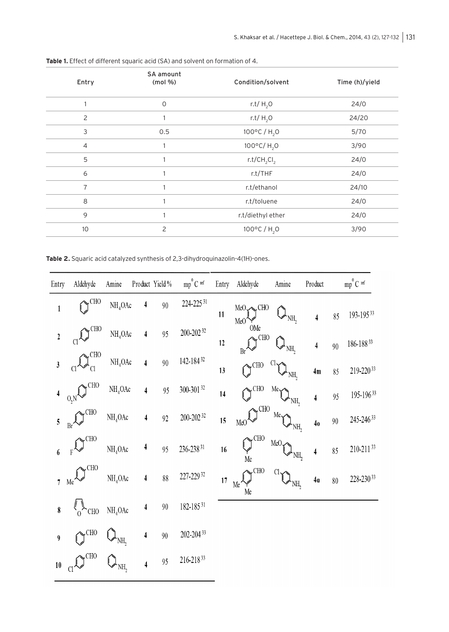| Entry          | SA amount<br>(mod 96) | Condition/solvent                   | Time (h)/yield |  |  |
|----------------|-----------------------|-------------------------------------|----------------|--|--|
| 1              | $\circ$               | r.t/ $H2O$                          | 24/0           |  |  |
| 2              |                       | r.t/ $H2O$                          | 24/20          |  |  |
| 3              | 0.5                   | 100°C / H <sub>2</sub> O            | 5/70           |  |  |
| $\overline{4}$ | 1                     | $100^{\circ}$ C/H <sub>2</sub> O    | 3/90           |  |  |
| 5              |                       | r.t/CH <sub>2</sub> Cl <sub>2</sub> | 24/0           |  |  |
| 6              | 1                     | r.t/THF                             | 24/0           |  |  |
| $\overline{7}$ |                       | r.t/ethanol                         | 24/10          |  |  |
| 8              |                       | r.t/toluene                         | 24/0           |  |  |
| 9              | 1                     | r.t/diethyl ether                   | 24/0           |  |  |
| 10             | $\overline{c}$        | 100°C / H <sub>2</sub> O            | 3/90           |  |  |

**Table 1.** Effect of different squaric acid (SA) and solvent on formation of 4.

**Table 2.** Squaric acid catalyzed synthesis of 2,3-dihydroquinazolin-4(1H)-ones.

| Entry            | Aldehyde                    | Amine               |                  | Product Yield % | $mp^{\circ}C$ <sup>ref</sup> | Entry | Aldehyde                       | Amine            | Product                 |        | $mp^{\circ}C$ <sup>ref</sup> |
|------------------|-----------------------------|---------------------|------------------|-----------------|------------------------------|-------|--------------------------------|------------------|-------------------------|--------|------------------------------|
| $\mathbf 1$      | $\sim$ CHO                  | NH <sub>4</sub> OAc | 4                | $90\,$          | 224-225 31                   | 11    | MeO CHO<br>MeO'                | 'NH <sub>2</sub> | 4                       | 85     | 193-19533                    |
| $\boldsymbol{2}$ | <b>CHO</b><br>$Cl^{\prime}$ | NH <sub>4</sub> OAc | 4                | 95              | 200-202 32                   | 12    | OMe<br>$\sim$ CHO<br>Br        | NH,              | 4                       | $90\,$ | $186\text{-}188\, {}^{33}$   |
| $\mathbf{3}$     | $\sim$ CHO                  | NH <sub>4</sub> OAc | 4                | 90              | 142-18432                    | 13    | $\mathbb{Q}^{\text{CHO}}$      | NH,              | 4m                      | 85     | 219-22033                    |
|                  | <b>CHO</b><br>$_{0, N}$     | NH <sub>4</sub> OAc | 4                | 95              | 300-301 32                   | 14    | $\bigcap$ <sup>CHO</sup>       | Me<br>NH,        | $\overline{\mathbf{4}}$ | 95     | 195-19633                    |
| 5                | <b>CHO</b><br>Br            | NH <sub>4</sub> OAc | 4                | 92              | 200-202 32                   | 15    | $\sim$ CHO<br>MeO <sup>'</sup> | Me,<br>NH,       | 4 <sub>0</sub>          | $90\,$ | 245-24633                    |
| $\boldsymbol{6}$ | CH <sub>O</sub>             | NH <sub>4</sub> OAc | 4                | 95              | $236 - 238$ <sup>31</sup>    | 16    | <b>CHO</b><br>Me               | MeO<br>NH,       | $\overline{\mathbf{4}}$ | $85\,$ | $210 - 211$ <sup>33</sup>    |
| 7                | <b>CHO</b><br>Me            | NH <sub>4</sub> OAc | $\boldsymbol{4}$ | $8\,$           | 227-229 32                   | 17    | $\sim$ CHO<br>Me<br>Me         | Cl.<br>NH,       | 4 <sub>a</sub>          | $80\,$ | 228-23033                    |
| 8                | $\sqrt[e]{\mathcal{L}}$ CHO | NH <sub>4</sub> OAc | 4                | $90\,$          | 182-18531                    |       |                                |                  |                         |        |                              |
| 9                | $\bigcap$ <sup>CHO</sup>    | NH,                 | 4                | $90\,$          | $202 - 204$ <sup>33</sup>    |       |                                |                  |                         |        |                              |
| 10               | CH <sub>O</sub>             | NH,                 | 4                | 95              | 216-21833                    |       |                                |                  |                         |        |                              |